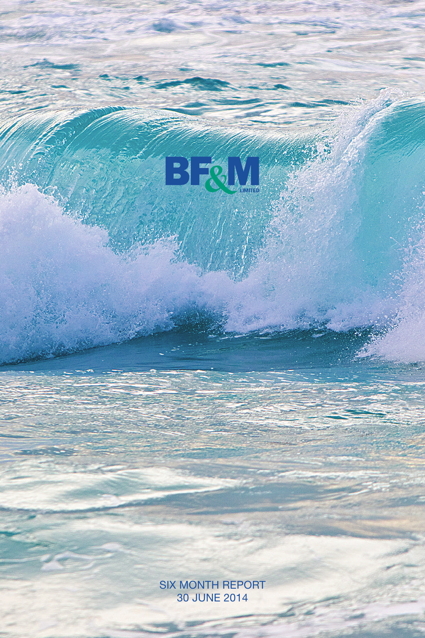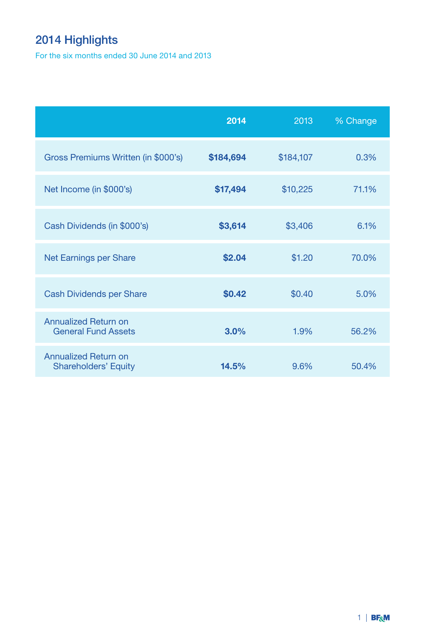# 2014 Highlights

For the six months ended 30 June 2014 and 2013

|                                                            | 2014      | 2013      | % Change |
|------------------------------------------------------------|-----------|-----------|----------|
| Gross Premiums Written (in \$000's)                        | \$184,694 | \$184,107 | 0.3%     |
| Net Income (in \$000's)                                    | \$17,494  | \$10,225  | 71.1%    |
| Cash Dividends (in \$000's)                                | \$3,614   | \$3,406   | 6.1%     |
| Net Earnings per Share                                     | \$2.04    | \$1.20    | 70.0%    |
| Cash Dividends per Share                                   | \$0.42    | \$0.40    | 5.0%     |
| <b>Annualized Return on</b><br><b>General Fund Assets</b>  | 3.0%      | 1.9%      | 56.2%    |
| <b>Annualized Return on</b><br><b>Shareholders' Equity</b> | 14.5%     | 9.6%      | 50.4%    |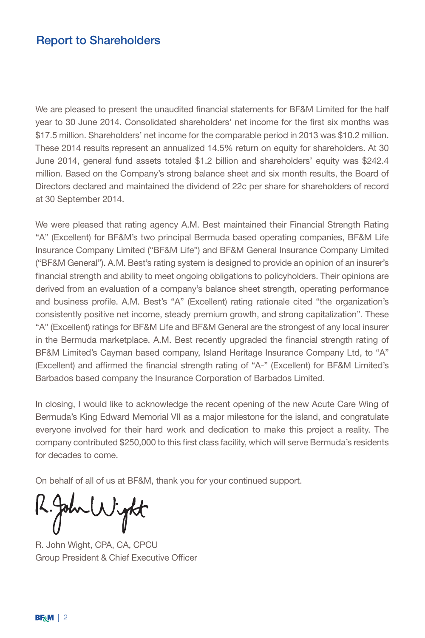### Report to Shareholders

We are pleased to present the unaudited financial statements for BF&M Limited for the half year to 30 June 2014. Consolidated shareholders' net income for the first six months was \$17.5 million. Shareholders' net income for the comparable period in 2013 was \$10.2 million. These 2014 results represent an annualized 14.5% return on equity for shareholders. At 30 June 2014, general fund assets totaled \$1.2 billion and shareholders' equity was \$242.4 million. Based on the Company's strong balance sheet and six month results, the Board of Directors declared and maintained the dividend of 22c per share for shareholders of record at 30 September 2014.

We were pleased that rating agency A.M. Best maintained their Financial Strength Rating "A" (Excellent) for BF&M's two principal Bermuda based operating companies, BF&M Life Insurance Company Limited ("BF&M Life") and BF&M General Insurance Company Limited ("BF&M General"). A.M. Best's rating system is designed to provide an opinion of an insurer's financial strength and ability to meet ongoing obligations to policyholders. Their opinions are derived from an evaluation of a company's balance sheet strength, operating performance and business profile. A.M. Best's "A" (Excellent) rating rationale cited "the organization's consistently positive net income, steady premium growth, and strong capitalization". These "A" (Excellent) ratings for BF&M Life and BF&M General are the strongest of any local insurer in the Bermuda marketplace. A.M. Best recently upgraded the financial strength rating of BF&M Limited's Cayman based company, Island Heritage Insurance Company Ltd, to "A" (Excellent) and affirmed the financial strength rating of "A-" (Excellent) for BF&M Limited's Barbados based company the Insurance Corporation of Barbados Limited.

In closing, I would like to acknowledge the recent opening of the new Acute Care Wing of Bermuda's King Edward Memorial VII as a major milestone for the island, and congratulate everyone involved for their hard work and dedication to make this project a reality. The company contributed \$250,000 to this first class facility, which will serve Bermuda's residents for decades to come.

On behalf of all of us at BF&M, thank you for your continued support.

John Wight

R. John Wight, CPA, CA, CPCU Group President & Chief Executive Officer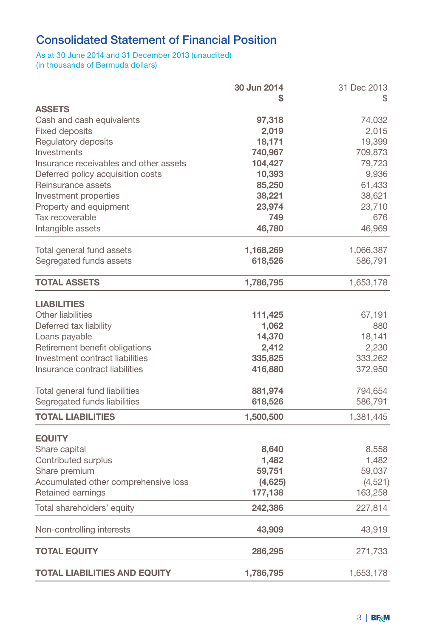# Consolidated Statement of Financial Position

#### As at 30 June 2014 and 31 December 2013 (unaudited) (in thousands of Bermuda dollars)

|                                        | 30 Jun 2014 | 31 Dec 2013 |
|----------------------------------------|-------------|-------------|
|                                        | S           | S           |
| <b>ASSETS</b>                          |             |             |
| Cash and cash equivalents              | 97,318      | 74,032      |
| <b>Fixed deposits</b>                  | 2,019       | 2,015       |
| Regulatory deposits                    | 18,171      | 19,399      |
| Investments                            | 740,967     | 709,873     |
| Insurance receivables and other assets | 104,427     | 79,723      |
| Deferred policy acquisition costs      | 10,393      | 9,936       |
| Reinsurance assets                     | 85,250      | 61,433      |
| Investment properties                  | 38,221      | 38,621      |
| Property and equipment                 | 23,974      | 23,710      |
| Tax recoverable                        | 749         | 676         |
| Intangible assets                      | 46,780      | 46,969      |
| Total general fund assets              | 1,168,269   | 1,066,387   |
| Segregated funds assets                | 618,526     | 586,791     |
| <b>TOTAL ASSETS</b>                    | 1,786,795   | 1,653,178   |
| <b>LIABILITIES</b>                     |             |             |
| Other liabilities                      | 111,425     | 67,191      |
| Deferred tax liability                 | 1,062       | 880         |
| Loans payable                          | 14,370      | 18,141      |
| Retirement benefit obligations         | 2,412       | 2,230       |
| Investment contract liabilities        | 335,825     | 333,262     |
| Insurance contract liabilities         | 416,880     | 372,950     |
| Total general fund liabilities         | 881,974     | 794,654     |
| Segregated funds liabilities           | 618,526     | 586,791     |
| <b>TOTAL LIABILITIES</b>               | 1,500,500   | 1,381,445   |
| <b>EQUITY</b>                          |             |             |
| Share capital                          | 8,640       | 8,558       |
| Contributed surplus                    | 1,482       | 1,482       |
| Share premium                          | 59,751      | 59,037      |
| Accumulated other comprehensive loss   | (4,625)     | (4,521)     |
| Retained earnings                      | 177,138     | 163,258     |
| Total shareholders' equity             | 242,386     | 227,814     |
| Non-controlling interests              | 43,909      | 43,919      |
| <b>TOTAL EQUITY</b>                    | 286,295     | 271,733     |
| <b>TOTAL LIABILITIES AND EQUITY</b>    | 1,786,795   | 1,653,178   |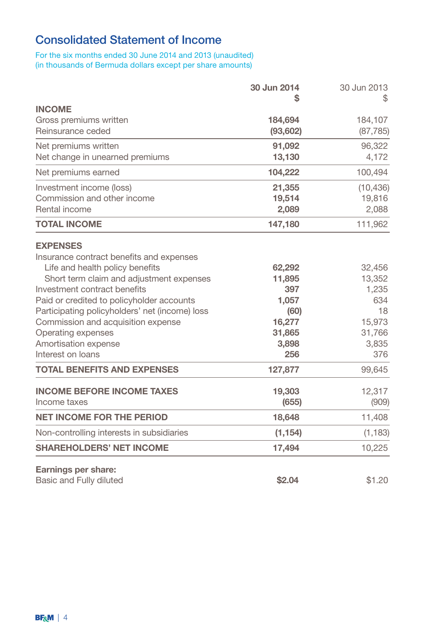# Consolidated Statement of Income

For the six months ended 30 June 2014 and 2013 (unaudited) (in thousands of Bermuda dollars except per share amounts)

|                                                | 30 Jun 2014 | 30 Jun 2013 |
|------------------------------------------------|-------------|-------------|
| <b>INCOME</b>                                  |             |             |
| Gross premiums written                         | 184,694     | 184,107     |
| Reinsurance ceded                              | (93,602)    | (87, 785)   |
| Net premiums written                           | 91,092      | 96,322      |
| Net change in unearned premiums                | 13,130      | 4,172       |
| Net premiums earned                            | 104,222     | 100,494     |
| Investment income (loss)                       | 21,355      | (10, 436)   |
| Commission and other income                    | 19,514      | 19,816      |
| Rental income                                  | 2,089       | 2,088       |
| <b>TOTAL INCOME</b>                            | 147,180     | 111,962     |
| <b>EXPENSES</b>                                |             |             |
| Insurance contract benefits and expenses       |             |             |
| Life and health policy benefits                | 62,292      | 32,456      |
| Short term claim and adjustment expenses       | 11,895      | 13,352      |
| Investment contract benefits                   | 397         | 1,235       |
| Paid or credited to policyholder accounts      | 1,057       | 634         |
| Participating policyholders' net (income) loss | (60)        | 18          |
| Commission and acquisition expense             | 16,277      | 15,973      |
| Operating expenses                             | 31,865      | 31,766      |
| Amortisation expense                           | 3,898       | 3,835       |
| Interest on loans                              | 256         | 376         |
| <b>TOTAL BENEFITS AND EXPENSES</b>             | 127,877     | 99,645      |
| <b>INCOME BEFORE INCOME TAXES</b>              | 19,303      | 12,317      |
| Income taxes                                   | (655)       | (909)       |
| <b>NET INCOME FOR THE PERIOD</b>               | 18,648      | 11,408      |
| Non-controlling interests in subsidiaries      | (1, 154)    | (1, 183)    |
| <b>SHAREHOLDERS' NET INCOME</b>                | 17,494      | 10,225      |
| Earnings per share:                            |             |             |
| Basic and Fully diluted                        | \$2.04      | \$1.20      |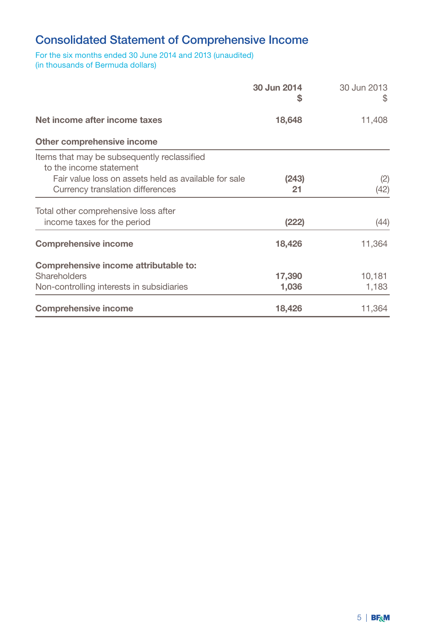## Consolidated Statement of Comprehensive Income

For the six months ended 30 June 2014 and 2013 (unaudited) (in thousands of Bermuda dollars)

|                                                                                                                                                                    | 30 Jun 2014<br>S | 30 Jun 2013<br>S |
|--------------------------------------------------------------------------------------------------------------------------------------------------------------------|------------------|------------------|
| Net income after income taxes                                                                                                                                      | 18,648           | 11,408           |
| Other comprehensive income                                                                                                                                         |                  |                  |
| Items that may be subsequently reclassified<br>to the income statement<br>Fair value loss on assets held as available for sale<br>Currency translation differences | (243)<br>21      | (2)<br>(42)      |
| Total other comprehensive loss after<br>income taxes for the period                                                                                                | (222)            | (44)             |
| <b>Comprehensive income</b>                                                                                                                                        | 18,426           | 11,364           |
| Comprehensive income attributable to:<br>Shareholders<br>Non-controlling interests in subsidiaries                                                                 | 17,390<br>1,036  | 10,181<br>1,183  |
| <b>Comprehensive income</b>                                                                                                                                        | 18,426           | 11,364           |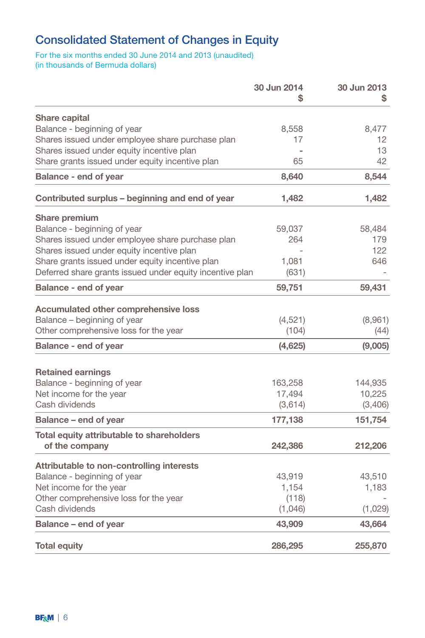## Consolidated Statement of Changes in Equity

### For the six months ended 30 June 2014 and 2013 (unaudited) (in thousands of Bermuda dollars)

|                                                          | 30 Jun 2014<br>\$ | 30 Jun 2013<br>S |
|----------------------------------------------------------|-------------------|------------------|
| <b>Share capital</b>                                     |                   |                  |
| Balance - beginning of year                              | 8,558             | 8.477            |
| Shares issued under employee share purchase plan         | 17                | 12               |
| Shares issued under equity incentive plan                |                   | 13               |
| Share grants issued under equity incentive plan          | 65                | 42               |
| <b>Balance - end of year</b>                             | 8,640             | 8,544            |
| Contributed surplus – beginning and end of year          | 1,482             | 1,482            |
| Share premium                                            |                   |                  |
| Balance - beginning of year                              | 59,037            | 58,484           |
| Shares issued under employee share purchase plan         | 264               | 179              |
| Shares issued under equity incentive plan                |                   | 122              |
| Share grants issued under equity incentive plan          | 1,081             | 646              |
| Deferred share grants issued under equity incentive plan | (631)             |                  |
| <b>Balance - end of year</b>                             | 59,751            | 59,431           |
| <b>Accumulated other comprehensive loss</b>              |                   |                  |
| Balance - beginning of year                              | (4,521)           | (8,961)          |
| Other comprehensive loss for the year                    | (104)             | (44)             |
| <b>Balance - end of year</b>                             | (4,625)           | (9,005)          |
|                                                          |                   |                  |
| <b>Retained earnings</b>                                 |                   |                  |
| Balance - beginning of year                              | 163,258           | 144,935          |
| Net income for the year                                  | 17,494            | 10,225           |
| Cash dividends                                           | (3,614)           | (3,406)          |
| Balance – end of year                                    | 177,138           | 151,754          |
| Total equity attributable to shareholders                |                   |                  |
| of the company                                           | 242,386           | 212,206          |
| Attributable to non-controlling interests                |                   |                  |
| Balance - beginning of year                              | 43,919            | 43,510           |
| Net income for the year                                  | 1,154             | 1,183            |
| Other comprehensive loss for the year                    | (118)             |                  |
| Cash dividends                                           | (1,046)           | (1,029)          |
| Balance - end of year                                    | 43,909            | 43,664           |
| <b>Total equity</b>                                      | 286,295           | 255,870          |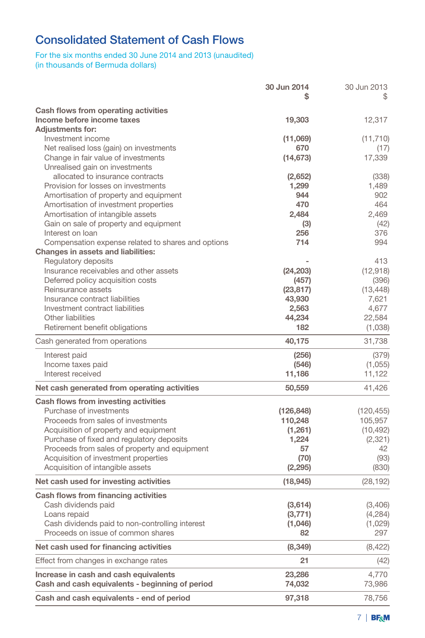# Consolidated Statement of Cash Flows

### For the six months ended 30 June 2014 and 2013 (unaudited) (in thousands of Bermuda dollars)

|                                                               | 30 Jun 2014<br>S   | 30 Jun 2013<br>\$ |
|---------------------------------------------------------------|--------------------|-------------------|
| Cash flows from operating activities                          |                    |                   |
| Income before income taxes                                    | 19,303             | 12,317            |
| <b>Adjustments for:</b>                                       |                    |                   |
| Investment income                                             | (11,069)           | (11, 710)         |
| Net realised loss (gain) on investments                       | 670                | (17)              |
| Change in fair value of investments                           | (14, 673)          | 17,339            |
| Unrealised gain on investments                                |                    |                   |
| allocated to insurance contracts                              | (2,652)            | (338)             |
| Provision for losses on investments                           | 1,299              | 1,489             |
| Amortisation of property and equipment                        | 944                | 902               |
| Amortisation of investment properties                         | 470                | 464               |
| Amortisation of intangible assets                             | 2,484              | 2,469             |
| Gain on sale of property and equipment                        | (3)                | (42)              |
| Interest on loan                                              | 256                | 376               |
| Compensation expense related to shares and options            | 714                | 994               |
| Changes in assets and liabilities:                            |                    |                   |
| Regulatory deposits<br>Insurance receivables and other assets |                    | 413               |
| Deferred policy acquisition costs                             | (24, 203)<br>(457) | (12,918)<br>(396) |
| Reinsurance assets                                            | (23, 817)          | (13, 448)         |
| Insurance contract liabilities                                | 43,930             | 7,621             |
| Investment contract liabilities                               | 2,563              | 4,677             |
| Other liabilities                                             | 44,234             | 22,584            |
| Retirement benefit obligations                                | 182                | (1,038)           |
| Cash generated from operations                                | 40,175             | 31,738            |
|                                                               |                    |                   |
| Interest paid                                                 | (256)              | (379)             |
| Income taxes paid<br>Interest received                        | (546)              | (1,055)<br>11,122 |
|                                                               | 11,186             |                   |
| Net cash generated from operating activities                  | 50,559             | 41,426            |
| Cash flows from investing activities                          |                    |                   |
| Purchase of investments                                       | (126, 848)         | (120, 455)        |
| Proceeds from sales of investments                            | 110,248            | 105,957           |
| Acquisition of property and equipment                         | (1,261)            | (10, 492)         |
| Purchase of fixed and regulatory deposits                     | 1,224              | (2,321)           |
| Proceeds from sales of property and equipment                 | 57                 | 42                |
| Acquisition of investment properties                          | (70)               | (93)              |
| Acquisition of intangible assets                              | (2, 295)           | (830)             |
| Net cash used for investing activities                        | (18, 945)          | (28, 192)         |
| Cash flows from financing activities                          |                    |                   |
| Cash dividends paid                                           | (3,614)            | (3,406)           |
| Loans repaid                                                  | (3, 771)           | (4,284)           |
| Cash dividends paid to non-controlling interest               | (1,046)            | (1,029)           |
| Proceeds on issue of common shares                            | 82                 | 297               |
| Net cash used for financing activities                        | (8, 349)           | (8,422)           |
| Effect from changes in exchange rates                         | 21                 | (42)              |
| Increase in cash and cash equivalents                         | 23,286             | 4,770             |
| Cash and cash equivalents - beginning of period               | 74,032             | 73,986            |
| Cash and cash equivalents - end of period                     | 97,318             | 78,756            |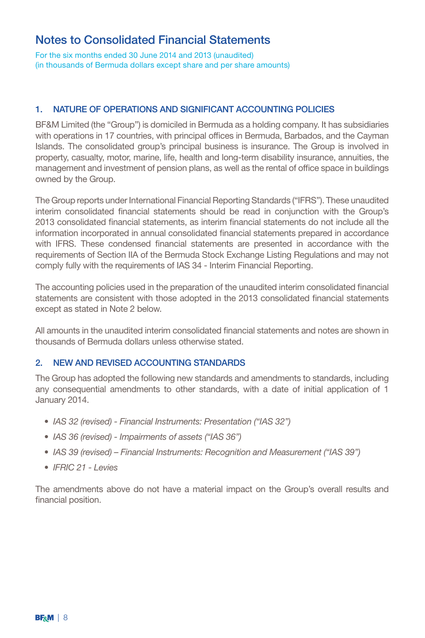For the six months ended 30 June 2014 and 2013 (unaudited) (in thousands of Bermuda dollars except share and per share amounts)

#### 1. NATURE OF OPERATIONS AND SIGNIFICANT ACCOUNTING POLICIES

BF&M Limited (the "Group") is domiciled in Bermuda as a holding company. It has subsidiaries with operations in 17 countries, with principal offices in Bermuda, Barbados, and the Cayman Islands. The consolidated group's principal business is insurance. The Group is involved in property, casualty, motor, marine, life, health and long-term disability insurance, annuities, the management and investment of pension plans, as well as the rental of office space in buildings owned by the Group.

The Group reports under International Financial Reporting Standards ("IFRS"). These unaudited interim consolidated financial statements should be read in conjunction with the Group's 2013 consolidated financial statements, as interim financial statements do not include all the information incorporated in annual consolidated financial statements prepared in accordance with IFRS. These condensed financial statements are presented in accordance with the requirements of Section IIA of the Bermuda Stock Exchange Listing Regulations and may not comply fully with the requirements of IAS 34 - Interim Financial Reporting.

The accounting policies used in the preparation of the unaudited interim consolidated financial statements are consistent with those adopted in the 2013 consolidated financial statements except as stated in Note 2 below.

All amounts in the unaudited interim consolidated financial statements and notes are shown in thousands of Bermuda dollars unless otherwise stated.

#### 2. NEW AND REVISED ACCOUNTING STANDARDS

The Group has adopted the following new standards and amendments to standards, including any consequential amendments to other standards, with a date of initial application of 1 January 2014.

- *• IAS 32 (revised) Financial Instruments: Presentation ("IAS 32")*
- *• IAS 36 (revised) Impairments of assets ("IAS 36")*
- *• IAS 39 (revised) Financial Instruments: Recognition and Measurement ("IAS 39")*
- *• IFRIC 21 Levies*

The amendments above do not have a material impact on the Group's overall results and financial position.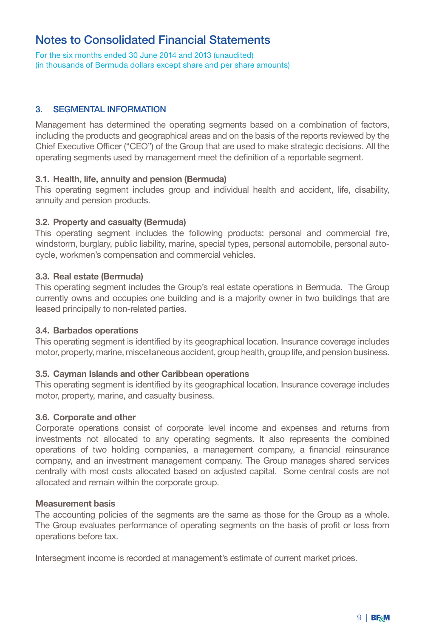For the six months ended 30 June 2014 and 2013 (unaudited) (in thousands of Bermuda dollars except share and per share amounts)

#### 3. SEGMENTAL INFORMATION

Management has determined the operating segments based on a combination of factors, including the products and geographical areas and on the basis of the reports reviewed by the Chief Executive Officer ("CEO") of the Group that are used to make strategic decisions. All the operating segments used by management meet the definition of a reportable segment.

#### 3.1. Health, life, annuity and pension (Bermuda)

This operating segment includes group and individual health and accident, life, disability, annuity and pension products.

#### 3.2. Property and casualty (Bermuda)

This operating segment includes the following products: personal and commercial fire, windstorm, burglary, public liability, marine, special types, personal automobile, personal autocycle, workmen's compensation and commercial vehicles.

#### 3.3. Real estate (Bermuda)

This operating segment includes the Group's real estate operations in Bermuda. The Group currently owns and occupies one building and is a majority owner in two buildings that are leased principally to non-related parties.

#### 3.4. Barbados operations

This operating segment is identified by its geographical location. Insurance coverage includes motor, property, marine, miscellaneous accident, group health, group life, and pension business.

#### 3.5. Cayman Islands and other Caribbean operations

This operating segment is identified by its geographical location. Insurance coverage includes motor, property, marine, and casualty business.

#### 3.6. Corporate and other

Corporate operations consist of corporate level income and expenses and returns from investments not allocated to any operating segments. It also represents the combined operations of two holding companies, a management company, a financial reinsurance company, and an investment management company. The Group manages shared services centrally with most costs allocated based on adjusted capital. Some central costs are not allocated and remain within the corporate group.

#### Measurement basis

The accounting policies of the segments are the same as those for the Group as a whole. The Group evaluates performance of operating segments on the basis of profit or loss from operations before tax.

Intersegment income is recorded at management's estimate of current market prices.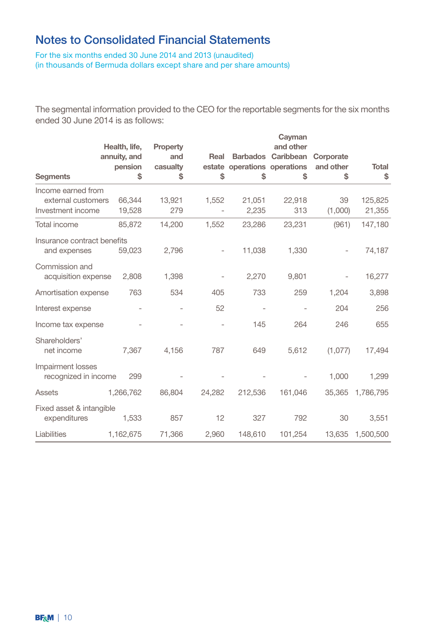For the six months ended 30 June 2014 and 2013 (unaudited) (in thousands of Bermuda dollars except share and per share amounts)

The segmental information provided to the CEO for the reportable segments for the six months ended 30 June 2014 is as follows:

|                                             |                               |                 |                          |                              | Cayman                          |               |                   |
|---------------------------------------------|-------------------------------|-----------------|--------------------------|------------------------------|---------------------------------|---------------|-------------------|
|                                             | Health, life,<br>annuity, and | Property<br>and | Real                     |                              | and other<br>Barbados Caribbean | Corporate     |                   |
|                                             | pension                       | casualty        |                          | estate operations operations |                                 | and other     | <b>Total</b>      |
| <b>Segments</b>                             | \$                            | \$              | \$                       | \$                           | \$                              | \$            | \$                |
| Income earned from                          |                               |                 |                          |                              |                                 |               |                   |
| external customers<br>Investment income     | 66,344<br>19,528              | 13,921<br>279   | 1,552                    | 21,051<br>2,235              | 22,918<br>313                   | 39<br>(1,000) | 125,825<br>21,355 |
| Total income                                | 85,872                        | 14,200          | 1,552                    | 23,286                       | 23,231                          | (961)         | 147,180           |
| Insurance contract benefits<br>and expenses | 59,023                        | 2,796           | $\overline{\phantom{0}}$ | 11,038                       | 1,330                           |               | 74,187            |
| Commission and<br>acquisition expense       | 2,808                         | 1,398           |                          | 2,270                        | 9,801                           |               | 16,277            |
| Amortisation expense                        | 763                           | 534             | 405                      | 733                          | 259                             | 1,204         | 3,898             |
| Interest expense                            |                               |                 | 52                       |                              |                                 | 204           | 256               |
| Income tax expense                          |                               |                 |                          | 145                          | 264                             | 246           | 655               |
| Shareholders'<br>net income                 | 7,367                         | 4,156           | 787                      | 649                          | 5,612                           | (1,077)       | 17,494            |
| Impairment losses<br>recognized in income   | 299                           |                 |                          |                              |                                 | 1,000         | 1,299             |
| Assets                                      | 1,266,762                     | 86,804          | 24,282                   | 212,536                      | 161,046                         | 35,365        | 1,786,795         |
| Fixed asset & intangible<br>expenditures    | 1,533                         | 857             | 12                       | 327                          | 792                             | 30            | 3,551             |
| Liabilities                                 | 1,162,675                     | 71,366          | 2,960                    | 148,610                      | 101,254                         | 13,635        | 1,500,500         |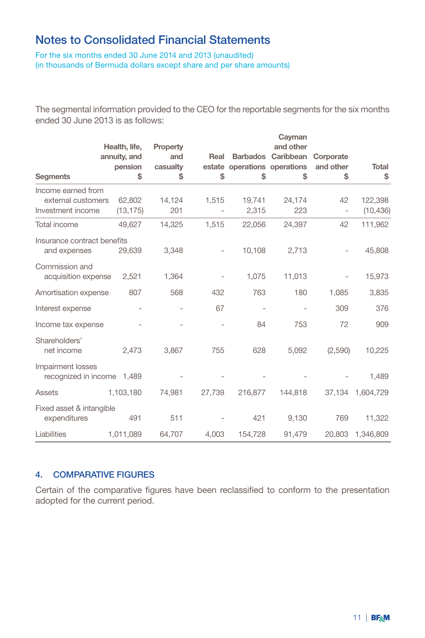For the six months ended 30 June 2014 and 2013 (unaudited) (in thousands of Bermuda dollars except share and per share amounts)

The segmental information provided to the CEO for the reportable segments for the six months ended 30 June 2013 is as follows:

|                                                 |                               |                 |                          |                              | Cayman                          |           |                      |
|-------------------------------------------------|-------------------------------|-----------------|--------------------------|------------------------------|---------------------------------|-----------|----------------------|
|                                                 | Health, life,<br>annuity, and | Property<br>and | Real                     |                              | and other<br>Barbados Caribbean | Corporate |                      |
|                                                 | pension                       | casualty        |                          | estate operations operations |                                 | and other | <b>Total</b>         |
| <b>Segments</b>                                 | \$                            | \$              | \$                       | \$                           | \$                              | \$        | \$                   |
| Income earned from                              |                               |                 |                          |                              |                                 |           |                      |
| external customers<br>Investment income         | 62,802<br>(13, 175)           | 14,124<br>201   | 1,515                    | 19,741<br>2,315              | 24,174<br>223                   | 42<br>J,  | 122,398<br>(10, 436) |
| Total income                                    | 49,627                        | 14,325          | 1,515                    | 22,056                       | 24,397                          | 42        | 111,962              |
| Insurance contract benefits<br>and expenses     | 29,639                        | 3.348           | $\overline{\phantom{0}}$ | 10,108                       | 2,713                           |           | 45,808               |
| Commission and<br>acquisition expense           | 2,521                         | 1,364           |                          | 1,075                        | 11,013                          |           | 15,973               |
| Amortisation expense                            | 807                           | 568             | 432                      | 763                          | 180                             | 1,085     | 3,835                |
| Interest expense                                |                               |                 | 67                       |                              |                                 | 309       | 376                  |
| Income tax expense                              |                               |                 |                          | 84                           | 753                             | 72        | 909                  |
| Shareholders'<br>net income                     | 2,473                         | 3,867           | 755                      | 628                          | 5,092                           | (2,590)   | 10,225               |
| Impairment losses<br>recognized in income 1,489 |                               |                 |                          |                              |                                 |           | 1,489                |
| Assets                                          | 1,103,180                     | 74,981          | 27,739                   | 216,877                      | 144,818                         | 37,134    | 1,604,729            |
| Fixed asset & intangible<br>expenditures        | 491                           | 511             |                          | 421                          | 9,130                           | 769       | 11,322               |
| Liabilities                                     | 1,011,089                     | 64,707          | 4,003                    | 154,728                      | 91,479                          | 20,803    | 1,346,809            |

#### 4. COMPARATIVE FIGURES

Certain of the comparative figures have been reclassified to conform to the presentation adopted for the current period.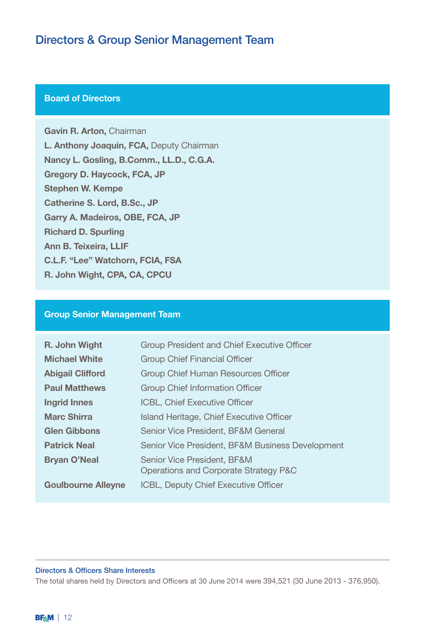### Directors & Group Senior Management Team

### **Board of Directors**

Gavin R. Arton, Chairman L. Anthony Joaquin, FCA, Deputy Chairman Nancy L. Gosling, B.Comm., LL.D., C.G.A. Gregory D. Haycock, FCA, JP Stephen W. Kempe Catherine S. Lord, B.Sc., JP Garry A. Madeiros, OBE, FCA, JP Richard D. Spurling Ann B. Teixeira, LLIF C.L.F. "Lee" Watchorn, FCIA, FSA R. John Wight, CPA, CA, CPCU

#### Group Senior Management Team

| R. John Wight             | Group President and Chief Executive Officer                          |
|---------------------------|----------------------------------------------------------------------|
| <b>Michael White</b>      | <b>Group Chief Financial Officer</b>                                 |
| <b>Abigail Clifford</b>   | Group Chief Human Resources Officer                                  |
| <b>Paul Matthews</b>      | Group Chief Information Officer                                      |
| <b>Ingrid Innes</b>       | <b>ICBL, Chief Executive Officer</b>                                 |
| <b>Marc Shirra</b>        | Island Heritage, Chief Executive Officer                             |
| <b>Glen Gibbons</b>       | Senior Vice President, BF&M General                                  |
| <b>Patrick Neal</b>       | Senior Vice President, BF&M Business Development                     |
| <b>Bryan O'Neal</b>       | Senior Vice President, BF&M<br>Operations and Corporate Strategy P&C |
| <b>Goulbourne Alleyne</b> | ICBL, Deputy Chief Executive Officer                                 |

#### Directors & Officers Share Interests

The total shares held by Directors and Officers at 30 June 2014 were 394,521 (30 June 2013 - 376,950).